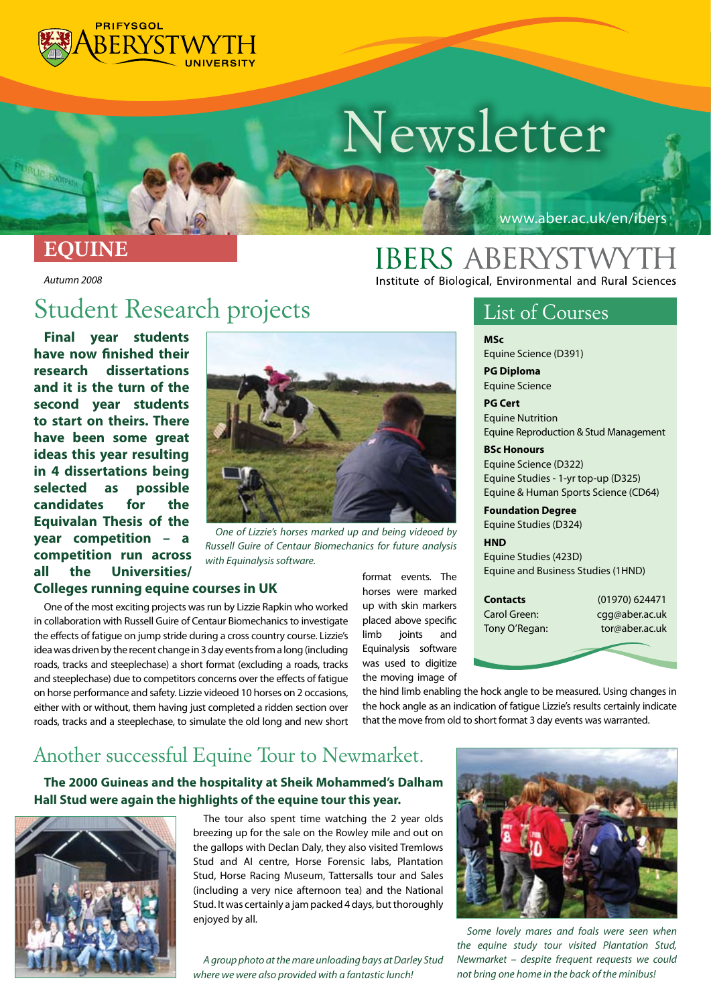

# *Newsletter*

### *EQUINE*

*Autumn 2008* 

## *Student Research projects*

**Final year students have now finished their research dissertations and it is the turn of the second year students to start on theirs. There have been some great ideas this year resulting in 4 dissertations being selected as possible candidates for the Equivalan Thesis of the year competition – a competition run across all the Universities/ Colleges running equine courses in UK**



*One of Lizzie's horses marked up and being videoed by Russell Guire of Centaur Biomechanics for future analysis with Equinalysis software.*

One of the most exciting projects was run by Lizzie Rapkin who worked in collaboration with Russell Guire of Centaur Biomechanics to investigate the effects of fatigue on jump stride during a cross country course. Lizzie's idea was driven by the recent change in 3 day events from a long (including roads, tracks and steeplechase) a short format (excluding a roads, tracks and steeplechase) due to competitors concerns over the effects of fatigue on horse performance and safety. Lizzie videoed 10 horses on 2 occasions, either with or without, them having just completed a ridden section over roads, tracks and a steeplechase, to simulate the old long and new short

format events. The horses were marked up with skin markers placed above specific limb joints and Equinalysis software was used to digitize the moving image of

**Contacts** (01970) 624471 Carol Green: cgg@aber.ac.uk Tony O'Regan: tor@aber.ac.uk

the hind limb enabling the hock angle to be measured. Using changes in the hock angle as an indication of fatigue Lizzie's results certainly indicate that the move from old to short format 3 day events was warranted.

### *Another successful Equine Tour to Newmarket.*

**The 2000 Guineas and the hospitality at Sheik Mohammed's Dalham Hall Stud were again the highlights of the equine tour this year.** 



The tour also spent time watching the 2 year olds breezing up for the sale on the Rowley mile and out on the gallops with Declan Daly, they also visited Tremlows Stud and AI centre, Horse Forensic labs, Plantation Stud, Horse Racing Museum, Tattersalls tour and Sales (including a very nice afternoon tea) and the National Stud. It was certainly a jam packed 4 days, but thoroughly enjoyed by all.

*A group photo at the mare unloading bays at Darley Stud where we were also provided with a fantastic lunch!*



*Some lovely mares and foals were seen when the equine study tour visited Plantation Stud, Newmarket – despite frequent requests we could not bring one home in the back of the minibus!*

Institute of Biological, Environmental and Rural Sciences

www.aber.ac.uk/en/ibers

*List of Courses*

**MSc** Equine Science (D391)

**IBERS ABERYSTWYTH** 

**PG Diploma** Equine Science

**PG Cert** Equine Nutrition Equine Reproduction & Stud Management

#### **BSc Honours**

Equine Science (D322) Equine Studies - 1-yr top-up (D325) Equine & Human Sports Science (CD64)

**Foundation Degree** Equine Studies (D324)

**HND** Equine Studies (423D) Equine and Business Studies (1HND)